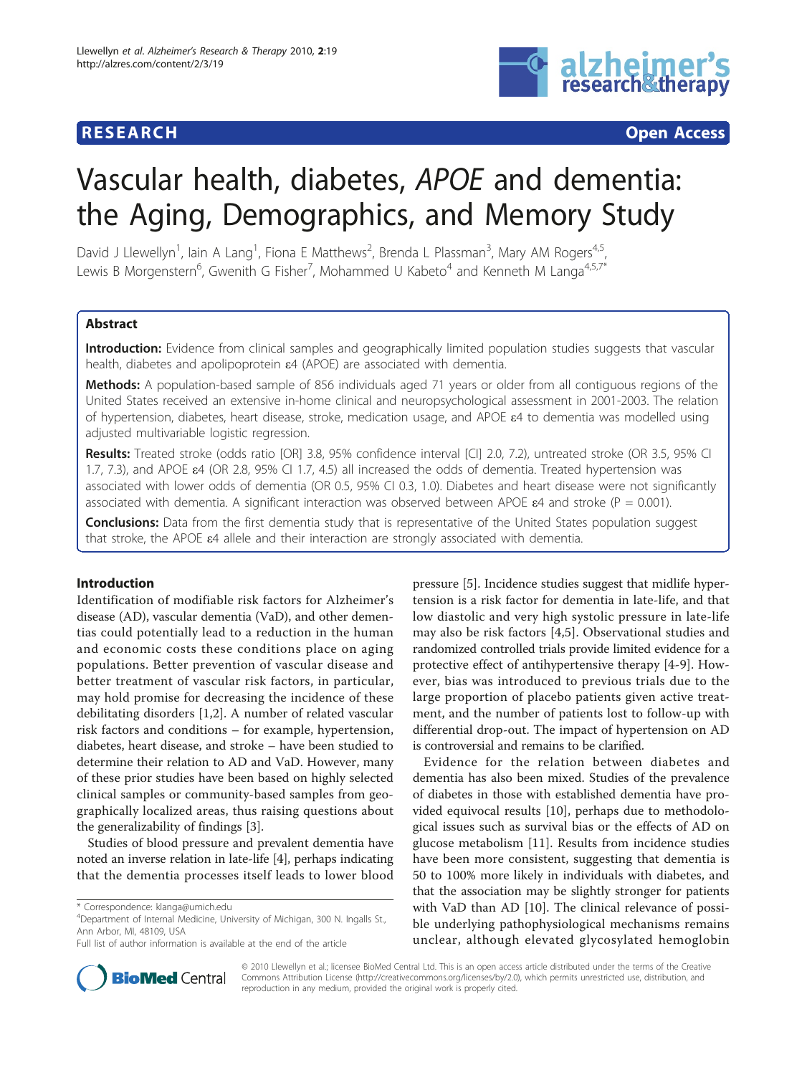## **RESEARCH CONSTRUCTION CONSTRUCTS**



# Vascular health, diabetes, APOE and dementia: the Aging, Demographics, and Memory Study

David J Llewellyn<sup>1</sup>, lain A Lang<sup>1</sup>, Fiona E Matthews<sup>2</sup>, Brenda L Plassman<sup>3</sup>, Mary AM Rogers<sup>4,5</sup>, Lewis B Morgenstern<sup>6</sup>, Gwenith G Fisher<sup>7</sup>, Mohammed U Kabeto<sup>4</sup> and Kenneth M Langa<sup>4,5,7\*</sup>

## Abstract

Introduction: Evidence from clinical samples and geographically limited population studies suggests that vascular health, diabetes and apolipoprotein ε4 (APOE) are associated with dementia.

Methods: A population-based sample of 856 individuals aged 71 years or older from all contiguous regions of the United States received an extensive in-home clinical and neuropsychological assessment in 2001-2003. The relation of hypertension, diabetes, heart disease, stroke, medication usage, and APOE ε4 to dementia was modelled using adjusted multivariable logistic regression.

Results: Treated stroke (odds ratio [OR] 3.8, 95% confidence interval [CI] 2.0, 7.2), untreated stroke (OR 3.5, 95% CI 1.7, 7.3), and APOE ε4 (OR 2.8, 95% CI 1.7, 4.5) all increased the odds of dementia. Treated hypertension was associated with lower odds of dementia (OR 0.5, 95% CI 0.3, 1.0). Diabetes and heart disease were not significantly associated with dementia. A significant interaction was observed between APOE  $\varepsilon$ 4 and stroke (P = 0.001).

**Conclusions:** Data from the first dementia study that is representative of the United States population suggest that stroke, the APOE ε4 allele and their interaction are strongly associated with dementia.

## Introduction

Identification of modifiable risk factors for Alzheimer's disease (AD), vascular dementia (VaD), and other dementias could potentially lead to a reduction in the human and economic costs these conditions place on aging populations. Better prevention of vascular disease and better treatment of vascular risk factors, in particular, may hold promise for decreasing the incidence of these debilitating disorders [[1,2\]](#page-6-0). A number of related vascular risk factors and conditions – for example, hypertension, diabetes, heart disease, and stroke – have been studied to determine their relation to AD and VaD. However, many of these prior studies have been based on highly selected clinical samples or community-based samples from geographically localized areas, thus raising questions about the generalizability of findings [[3\]](#page-6-0).

Studies of blood pressure and prevalent dementia have noted an inverse relation in late-life [\[4](#page-6-0)], perhaps indicating that the dementia processes itself leads to lower blood



Evidence for the relation between diabetes and dementia has also been mixed. Studies of the prevalence of diabetes in those with established dementia have provided equivocal results [[10\]](#page-6-0), perhaps due to methodological issues such as survival bias or the effects of AD on glucose metabolism [[11\]](#page-6-0). Results from incidence studies have been more consistent, suggesting that dementia is 50 to 100% more likely in individuals with diabetes, and that the association may be slightly stronger for patients with VaD than AD [\[10](#page-6-0)]. The clinical relevance of possible underlying pathophysiological mechanisms remains unclear, although elevated glycosylated hemoglobin



© 2010 Llewellyn et al.; licensee BioMed Central Ltd. This is an open access article distributed under the terms of the Creative Commons Attribution License [\(http://creativecommons.org/licenses/by/2.0](http://creativecommons.org/licenses/by/2.0)), which permits unrestricted use, distribution, and reproduction in any medium, provided the original work is properly cited.

<sup>\*</sup> Correspondence: [klanga@umich.edu](mailto:klanga@umich.edu)

<sup>4</sup> Department of Internal Medicine, University of Michigan, 300 N. Ingalls St., Ann Arbor, MI, 48109, USA

Full list of author information is available at the end of the article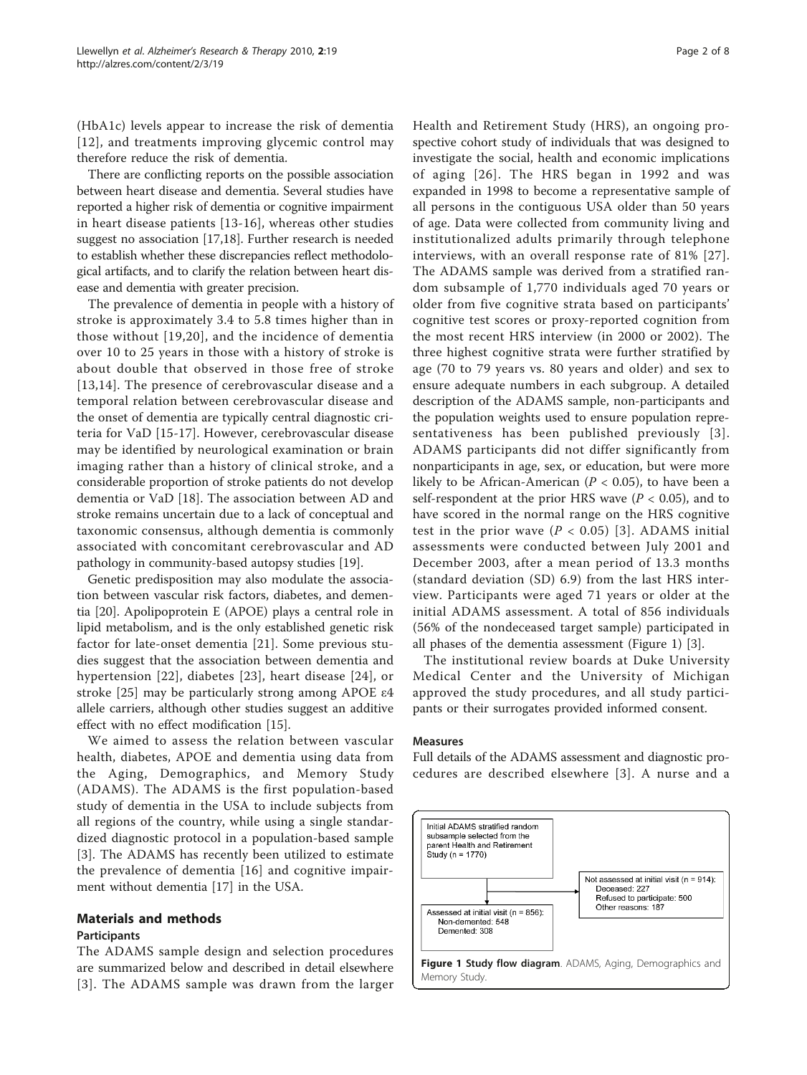(HbA1c) levels appear to increase the risk of dementia [[12](#page-6-0)], and treatments improving glycemic control may therefore reduce the risk of dementia.

There are conflicting reports on the possible association between heart disease and dementia. Several studies have reported a higher risk of dementia or cognitive impairment in heart disease patients [[13-16\]](#page-6-0), whereas other studies suggest no association [[17,18](#page-6-0)]. Further research is needed to establish whether these discrepancies reflect methodological artifacts, and to clarify the relation between heart disease and dementia with greater precision.

The prevalence of dementia in people with a history of stroke is approximately 3.4 to 5.8 times higher than in those without [[19,20\]](#page-6-0), and the incidence of dementia over 10 to 25 years in those with a history of stroke is about double that observed in those free of stroke [[13](#page-6-0),[14](#page-6-0)]. The presence of cerebrovascular disease and a temporal relation between cerebrovascular disease and the onset of dementia are typically central diagnostic criteria for VaD [\[15](#page-6-0)-[17\]](#page-6-0). However, cerebrovascular disease may be identified by neurological examination or brain imaging rather than a history of clinical stroke, and a considerable proportion of stroke patients do not develop dementia or VaD [[18\]](#page-6-0). The association between AD and stroke remains uncertain due to a lack of conceptual and taxonomic consensus, although dementia is commonly associated with concomitant cerebrovascular and AD pathology in community-based autopsy studies [\[19](#page-6-0)].

Genetic predisposition may also modulate the association between vascular risk factors, diabetes, and dementia [\[20\]](#page-6-0). Apolipoprotein E (APOE) plays a central role in lipid metabolism, and is the only established genetic risk factor for late-onset dementia [[21\]](#page-6-0). Some previous studies suggest that the association between dementia and hypertension [[22](#page-6-0)], diabetes [[23](#page-6-0)], heart disease [[24](#page-6-0)], or stroke [[25](#page-6-0)] may be particularly strong among APOE ε4 allele carriers, although other studies suggest an additive effect with no effect modification [[15](#page-6-0)].

We aimed to assess the relation between vascular health, diabetes, APOE and dementia using data from the Aging, Demographics, and Memory Study (ADAMS). The ADAMS is the first population-based study of dementia in the USA to include subjects from all regions of the country, while using a single standardized diagnostic protocol in a population-based sample [[3\]](#page-6-0). The ADAMS has recently been utilized to estimate the prevalence of dementia [[16\]](#page-6-0) and cognitive impairment without dementia [\[17](#page-6-0)] in the USA.

## Materials and methods

## Participants

The ADAMS sample design and selection procedures are summarized below and described in detail elsewhere [[3\]](#page-6-0). The ADAMS sample was drawn from the larger Health and Retirement Study (HRS), an ongoing prospective cohort study of individuals that was designed to investigate the social, health and economic implications of aging [[26](#page-6-0)]. The HRS began in 1992 and was expanded in 1998 to become a representative sample of all persons in the contiguous USA older than 50 years of age. Data were collected from community living and institutionalized adults primarily through telephone interviews, with an overall response rate of 81% [[27](#page-6-0)]. The ADAMS sample was derived from a stratified random subsample of 1,770 individuals aged 70 years or older from five cognitive strata based on participants' cognitive test scores or proxy-reported cognition from the most recent HRS interview (in 2000 or 2002). The three highest cognitive strata were further stratified by age (70 to 79 years vs. 80 years and older) and sex to ensure adequate numbers in each subgroup. A detailed description of the ADAMS sample, non-participants and the population weights used to ensure population representativeness has been published previously [[3\]](#page-6-0). ADAMS participants did not differ significantly from nonparticipants in age, sex, or education, but were more likely to be African-American ( $P < 0.05$ ), to have been a self-respondent at the prior HRS wave ( $P < 0.05$ ), and to have scored in the normal range on the HRS cognitive test in the prior wave  $(P < 0.05)$  [[3\]](#page-6-0). ADAMS initial assessments were conducted between July 2001 and December 2003, after a mean period of 13.3 months (standard deviation (SD) 6.9) from the last HRS interview. Participants were aged 71 years or older at the initial ADAMS assessment. A total of 856 individuals (56% of the nondeceased target sample) participated in all phases of the dementia assessment (Figure 1) [\[3\]](#page-6-0).

The institutional review boards at Duke University Medical Center and the University of Michigan approved the study procedures, and all study participants or their surrogates provided informed consent.

## Measures

Full details of the ADAMS assessment and diagnostic procedures are described elsewhere [[3\]](#page-6-0). A nurse and a

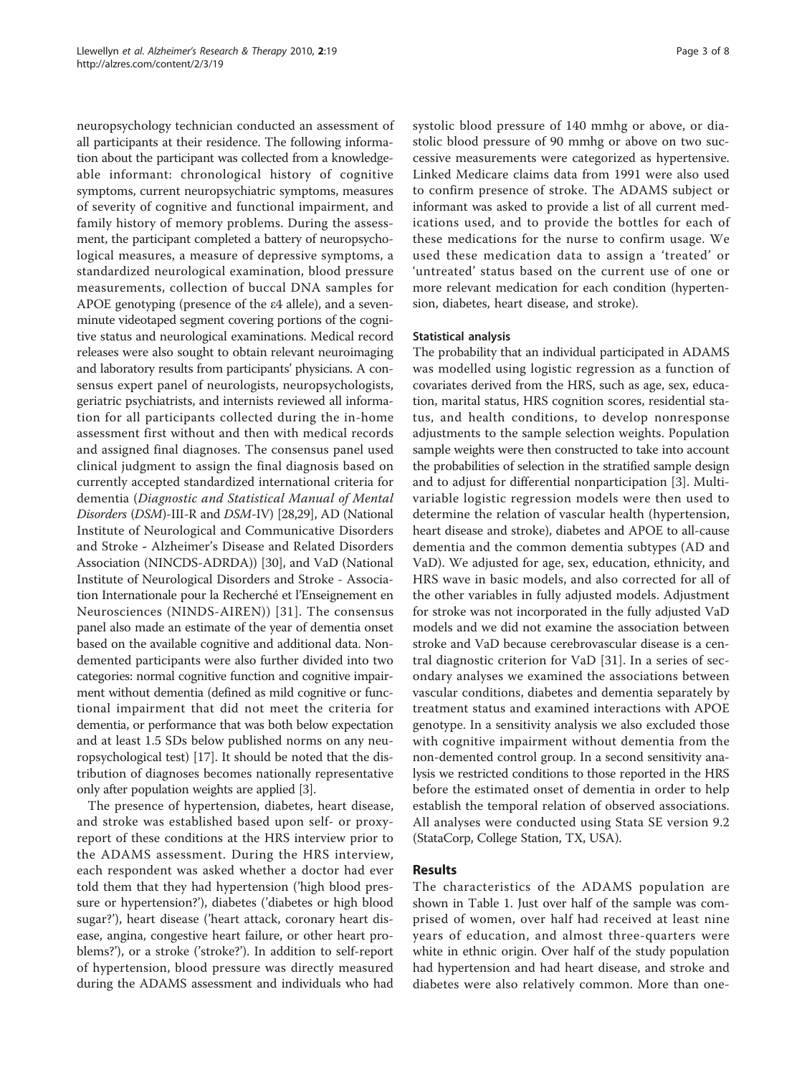neuropsychology technician conducted an assessment of all participants at their residence. The following information about the participant was collected from a knowledgeable informant: chronological history of cognitive symptoms, current neuropsychiatric symptoms, measures of severity of cognitive and functional impairment, and family history of memory problems. During the assessment, the participant completed a battery of neuropsychological measures, a measure of depressive symptoms, a standardized neurological examination, blood pressure measurements, collection of buccal DNA samples for APOE genotyping (presence of the ε4 allele), and a sevenminute videotaped segment covering portions of the cognitive status and neurological examinations. Medical record releases were also sought to obtain relevant neuroimaging and laboratory results from participants' physicians. A consensus expert panel of neurologists, neuropsychologists, geriatric psychiatrists, and internists reviewed all information for all participants collected during the in-home assessment first without and then with medical records and assigned final diagnoses. The consensus panel used clinical judgment to assign the final diagnosis based on currently accepted standardized international criteria for dementia (Diagnostic and Statistical Manual of Mental Disorders (DSM)-III-R and DSM-IV) [[28,29\]](#page-6-0), AD (National Institute of Neurological and Communicative Disorders and Stroke - Alzheimer's Disease and Related Disorders Association (NINCDS-ADRDA)) [[30\]](#page-6-0), and VaD (National Institute of Neurological Disorders and Stroke - Association Internationale pour la Recherché et l'Enseignement en Neurosciences (NINDS-AIREN)) [[31](#page-6-0)]. The consensus panel also made an estimate of the year of dementia onset based on the available cognitive and additional data. Nondemented participants were also further divided into two categories: normal cognitive function and cognitive impairment without dementia (defined as mild cognitive or functional impairment that did not meet the criteria for dementia, or performance that was both below expectation and at least 1.5 SDs below published norms on any neuropsychological test) [[17\]](#page-6-0). It should be noted that the distribution of diagnoses becomes nationally representative only after population weights are applied [[3](#page-6-0)].

The presence of hypertension, diabetes, heart disease, and stroke was established based upon self- or proxyreport of these conditions at the HRS interview prior to the ADAMS assessment. During the HRS interview, each respondent was asked whether a doctor had ever told them that they had hypertension ('high blood pressure or hypertension?'), diabetes ('diabetes or high blood sugar?'), heart disease ('heart attack, coronary heart disease, angina, congestive heart failure, or other heart problems?'), or a stroke ('stroke?'). In addition to self-report of hypertension, blood pressure was directly measured during the ADAMS assessment and individuals who had systolic blood pressure of 140 mmhg or above, or diastolic blood pressure of 90 mmhg or above on two successive measurements were categorized as hypertensive. Linked Medicare claims data from 1991 were also used to confirm presence of stroke. The ADAMS subject or informant was asked to provide a list of all current medications used, and to provide the bottles for each of these medications for the nurse to confirm usage. We used these medication data to assign a 'treated' or 'untreated' status based on the current use of one or more relevant medication for each condition (hypertension, diabetes, heart disease, and stroke).

## Statistical analysis

The probability that an individual participated in ADAMS was modelled using logistic regression as a function of covariates derived from the HRS, such as age, sex, education, marital status, HRS cognition scores, residential status, and health conditions, to develop nonresponse adjustments to the sample selection weights. Population sample weights were then constructed to take into account the probabilities of selection in the stratified sample design and to adjust for differential nonparticipation [[3\]](#page-6-0). Multivariable logistic regression models were then used to determine the relation of vascular health (hypertension, heart disease and stroke), diabetes and APOE to all-cause dementia and the common dementia subtypes (AD and VaD). We adjusted for age, sex, education, ethnicity, and HRS wave in basic models, and also corrected for all of the other variables in fully adjusted models. Adjustment for stroke was not incorporated in the fully adjusted VaD models and we did not examine the association between stroke and VaD because cerebrovascular disease is a central diagnostic criterion for VaD [[31\]](#page-6-0). In a series of secondary analyses we examined the associations between vascular conditions, diabetes and dementia separately by treatment status and examined interactions with APOE genotype. In a sensitivity analysis we also excluded those with cognitive impairment without dementia from the non-demented control group. In a second sensitivity analysis we restricted conditions to those reported in the HRS before the estimated onset of dementia in order to help establish the temporal relation of observed associations. All analyses were conducted using Stata SE version 9.2 (StataCorp, College Station, TX, USA).

## Results

The characteristics of the ADAMS population are shown in Table [1.](#page-3-0) Just over half of the sample was comprised of women, over half had received at least nine years of education, and almost three-quarters were white in ethnic origin. Over half of the study population had hypertension and had heart disease, and stroke and diabetes were also relatively common. More than one-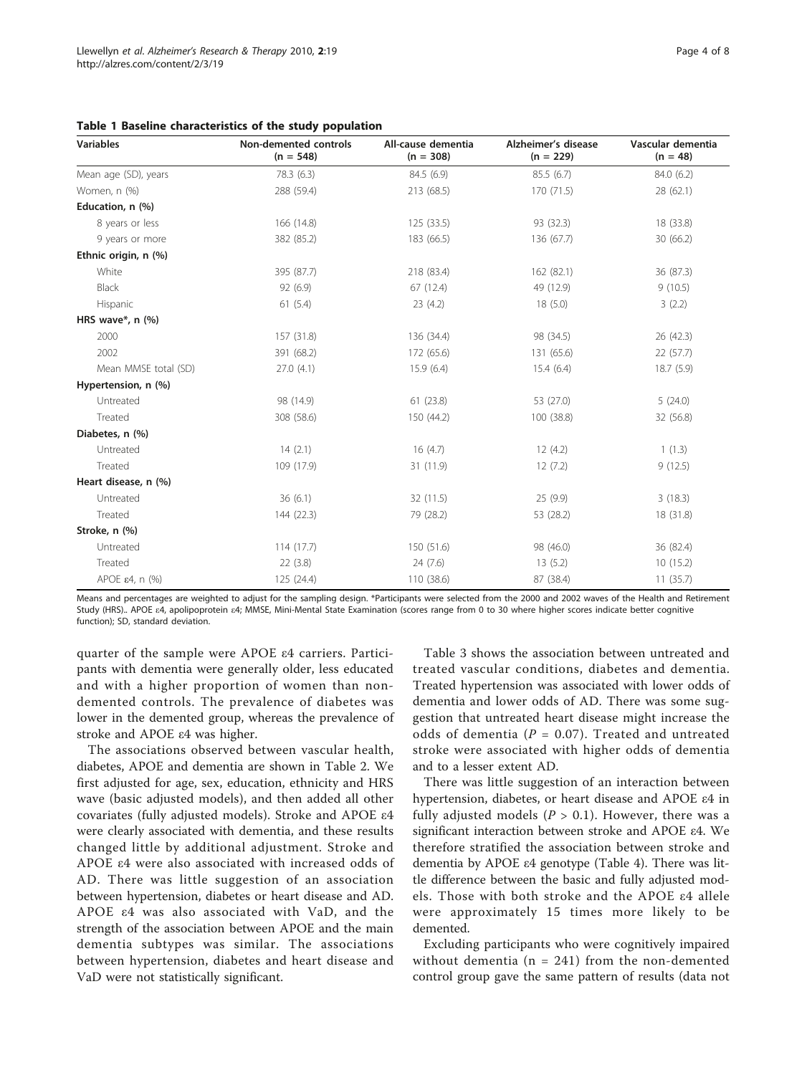<span id="page-3-0"></span>Table 1 Baseline characteristics of the study population

| <b>Variables</b>            | Non-demented controls<br>$(n = 548)$ | All-cause dementia<br>$(n = 308)$ | Alzheimer's disease<br>$(n = 229)$ | Vascular dementia<br>$(n = 48)$ |
|-----------------------------|--------------------------------------|-----------------------------------|------------------------------------|---------------------------------|
| Mean age (SD), years        | 78.3 (6.3)                           | 84.5 (6.9)                        | 85.5(6.7)                          | 84.0 (6.2)                      |
| Women, n (%)                | 288 (59.4)                           | 213 (68.5)                        | 170 (71.5)                         | 28(62.1)                        |
| Education, n (%)            |                                      |                                   |                                    |                                 |
| 8 years or less             | 166 (14.8)                           | 125(33.5)                         | 93 (32.3)                          | 18 (33.8)                       |
| 9 years or more             | 382 (85.2)                           | 183 (66.5)                        | 136 (67.7)                         | 30 (66.2)                       |
| Ethnic origin, n (%)        |                                      |                                   |                                    |                                 |
| White                       | 395 (87.7)                           | 218 (83.4)                        | 162 (82.1)                         | 36 (87.3)                       |
| Black                       | 92 (6.9)                             | 67 (12.4)                         | 49 (12.9)                          | 9(10.5)                         |
| Hispanic                    | 61(5.4)                              | 23(4.2)                           | 18(5.0)                            | 3(2.2)                          |
| HRS wave*, $n$ (%)          |                                      |                                   |                                    |                                 |
| 2000                        | 157 (31.8)                           | 136 (34.4)                        | 98 (34.5)                          | 26 (42.3)                       |
| 2002                        | 391 (68.2)                           | 172 (65.6)                        | 131 (65.6)                         | 22(57.7)                        |
| Mean MMSE total (SD)        | 27.0(4.1)                            | 15.9(6.4)                         | 15.4(6.4)                          | 18.7(5.9)                       |
| Hypertension, n (%)         |                                      |                                   |                                    |                                 |
| Untreated                   | 98 (14.9)                            | 61(23.8)                          | 53 (27.0)                          | 5(24.0)                         |
| Treated                     | 308 (58.6)                           | 150 (44.2)                        | 100 (38.8)                         | 32 (56.8)                       |
| Diabetes, n (%)             |                                      |                                   |                                    |                                 |
| Untreated                   | 14(2.1)                              | 16(4.7)                           | 12(4.2)                            | 1(1.3)                          |
| Treated                     | 109 (17.9)                           | 31 (11.9)                         | 12(7.2)                            | 9(12.5)                         |
| Heart disease, n (%)        |                                      |                                   |                                    |                                 |
| Untreated                   | 36(6.1)                              | 32 (11.5)                         | 25(9.9)                            | 3(18.3)                         |
| Treated                     | 144 (22.3)                           | 79 (28.2)                         | 53 (28.2)                          | 18 (31.8)                       |
| Stroke, n (%)               |                                      |                                   |                                    |                                 |
| Untreated                   | 114(17.7)                            | 150 (51.6)                        | 98 (46.0)                          | 36 (82.4)                       |
| Treated                     | 22(3.8)                              | 24(7.6)                           | 13(5.2)                            | 10(15.2)                        |
| APOE $\varepsilon$ 4, n (%) | 125(24.4)                            | 110 (38.6)                        | 87 (38.4)                          | 11(35.7)                        |

Means and percentages are weighted to adjust for the sampling design. \*Participants were selected from the 2000 and 2002 waves of the Health and Retirement Study (HRS).. APOE ε4, apolipoprotein ε4; MMSE, Mini-Mental State Examination (scores range from 0 to 30 where higher scores indicate better cognitive function); SD, standard deviation.

quarter of the sample were APOE ε4 carriers. Participants with dementia were generally older, less educated and with a higher proportion of women than nondemented controls. The prevalence of diabetes was lower in the demented group, whereas the prevalence of stroke and APOE ε4 was higher.

The associations observed between vascular health, diabetes, APOE and dementia are shown in Table [2.](#page-4-0) We first adjusted for age, sex, education, ethnicity and HRS wave (basic adjusted models), and then added all other covariates (fully adjusted models). Stroke and APOE ε4 were clearly associated with dementia, and these results changed little by additional adjustment. Stroke and APOE ε4 were also associated with increased odds of AD. There was little suggestion of an association between hypertension, diabetes or heart disease and AD. APOE ε4 was also associated with VaD, and the strength of the association between APOE and the main dementia subtypes was similar. The associations between hypertension, diabetes and heart disease and VaD were not statistically significant.

Table [3](#page-4-0) shows the association between untreated and treated vascular conditions, diabetes and dementia. Treated hypertension was associated with lower odds of dementia and lower odds of AD. There was some suggestion that untreated heart disease might increase the odds of dementia ( $P = 0.07$ ). Treated and untreated stroke were associated with higher odds of dementia and to a lesser extent AD.

There was little suggestion of an interaction between hypertension, diabetes, or heart disease and APOE ε4 in fully adjusted models ( $P > 0.1$ ). However, there was a significant interaction between stroke and APOE ε4. We therefore stratified the association between stroke and dementia by APOE ε4 genotype (Table [4\)](#page-5-0). There was little difference between the basic and fully adjusted models. Those with both stroke and the APOE ε4 allele were approximately 15 times more likely to be demented.

Excluding participants who were cognitively impaired without dementia ( $n = 241$ ) from the non-demented control group gave the same pattern of results (data not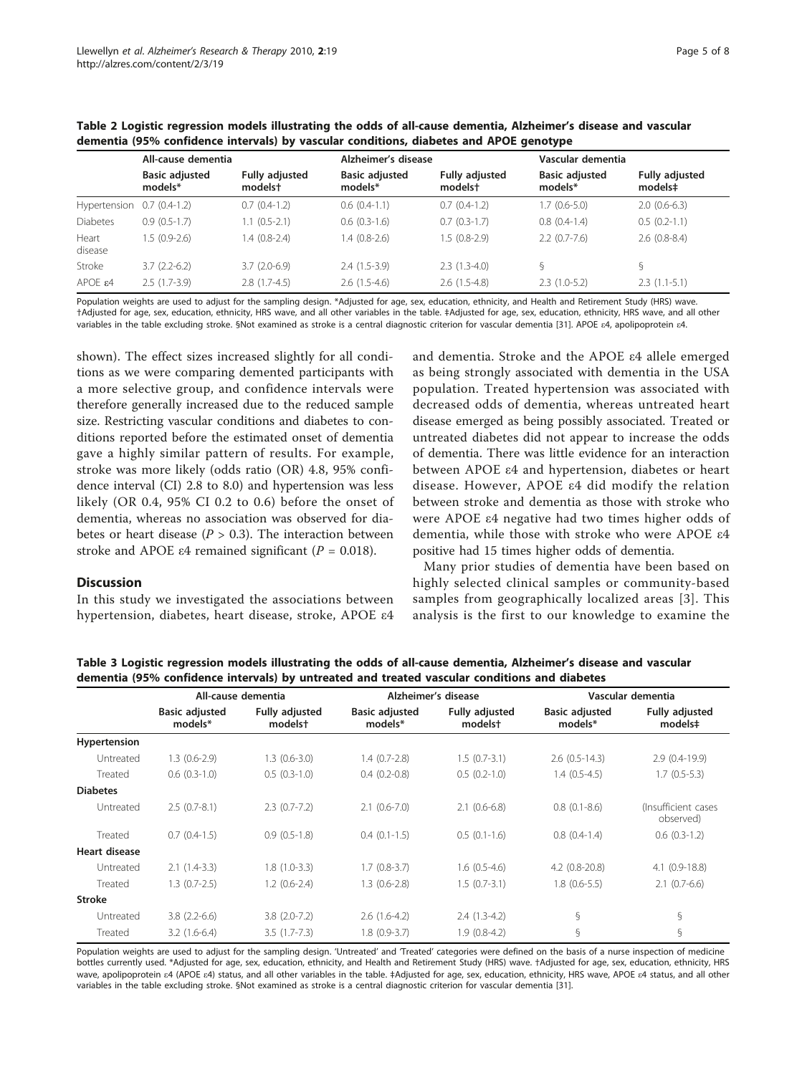|                        | All-cause dementia               |                                  | Alzheimer's disease              |                                              | Vascular dementia                |                                  |
|------------------------|----------------------------------|----------------------------------|----------------------------------|----------------------------------------------|----------------------------------|----------------------------------|
|                        | <b>Basic adjusted</b><br>models* | <b>Fully adjusted</b><br>modelst | <b>Basic adjusted</b><br>models* | <b>Fully adjusted</b><br>models <sup>+</sup> | <b>Basic adjusted</b><br>models* | <b>Fully adjusted</b><br>models‡ |
| Hypertension           | $0.7(0.4-1.2)$                   | $0.7(0.4-1.2)$                   | $0.6(0.4-1.1)$                   | $0.7(0.4-1.2)$                               | $1.7(0.6-5.0)$                   | $2.0(0.6-6.3)$                   |
| Diabetes               | $0.9(0.5-1.7)$                   | $1.1(0.5-2.1)$                   | $0.6(0.3-1.6)$                   | $0.7(0.3-1.7)$                               | $0.8(0.4-1.4)$                   | $0.5(0.2-1.1)$                   |
| Heart<br>disease       | 1.5 (0.9-2.6)                    | $1.4(0.8-2.4)$                   | $.4(0.8-2.6)$                    | $1.5(0.8-2.9)$                               | $2.2(0.7-7.6)$                   | $2.6(0.8-8.4)$                   |
| Stroke                 | $3.7(2.2-6.2)$                   | $3.7(2.0-6.9)$                   | $2.4(1.5-3.9)$                   | $2.3(1.3-4.0)$                               | ξ                                | ş                                |
| $APOE$ $\varepsilon$ 4 | $2.5(1.7-3.9)$                   | $2.8(1.7-4.5)$                   | $2.6(1.5-4.6)$                   | $2.6(1.5-4.8)$                               | $2.3(1.0-5.2)$                   | $2.3(1.1-5.1)$                   |

<span id="page-4-0"></span>Table 2 Logistic regression models illustrating the odds of all-cause dementia, Alzheimer's disease and vascular dementia (95% confidence intervals) by vascular conditions, diabetes and APOE genotype

Population weights are used to adjust for the sampling design. \*Adjusted for age, sex, education, ethnicity, and Health and Retirement Study (HRS) wave. †Adjusted for age, sex, education, ethnicity, HRS wave, and all other variables in the table. ‡Adjusted for age, sex, education, ethnicity, HRS wave, and all other variables in the table excluding stroke. §Not examined as stroke is a central diagnostic criterion for vascular dementia [\[31\]](#page-6-0). APOE ε4, apolipoprotein ε4.

shown). The effect sizes increased slightly for all conditions as we were comparing demented participants with a more selective group, and confidence intervals were therefore generally increased due to the reduced sample size. Restricting vascular conditions and diabetes to conditions reported before the estimated onset of dementia gave a highly similar pattern of results. For example, stroke was more likely (odds ratio (OR) 4.8, 95% confidence interval (CI) 2.8 to 8.0) and hypertension was less likely (OR 0.4, 95% CI 0.2 to 0.6) before the onset of dementia, whereas no association was observed for diabetes or heart disease ( $P > 0.3$ ). The interaction between stroke and APOE  $\varepsilon$ 4 remained significant ( $P = 0.018$ ).

## **Discussion**

In this study we investigated the associations between hypertension, diabetes, heart disease, stroke, APOE ε4

and dementia. Stroke and the APOE ε4 allele emerged as being strongly associated with dementia in the USA population. Treated hypertension was associated with decreased odds of dementia, whereas untreated heart disease emerged as being possibly associated. Treated or untreated diabetes did not appear to increase the odds of dementia. There was little evidence for an interaction between APOE ε4 and hypertension, diabetes or heart disease. However, APOE ε4 did modify the relation between stroke and dementia as those with stroke who were APOE ε4 negative had two times higher odds of dementia, while those with stroke who were APOE ε4 positive had 15 times higher odds of dementia.

Many prior studies of dementia have been based on highly selected clinical samples or community-based samples from geographically localized areas [[3\]](#page-6-0). This analysis is the first to our knowledge to examine the

Table 3 Logistic regression models illustrating the odds of all-cause dementia, Alzheimer's disease and vascular dementia (95% confidence intervals) by untreated and treated vascular conditions and diabetes

|                      | All-cause dementia               |                                  | Alzheimer's disease              |                                  | Vascular dementia                |                                  |
|----------------------|----------------------------------|----------------------------------|----------------------------------|----------------------------------|----------------------------------|----------------------------------|
|                      | <b>Basic adjusted</b><br>models* | <b>Fully adjusted</b><br>modelst | <b>Basic adjusted</b><br>models* | <b>Fully adjusted</b><br>modelst | <b>Basic adjusted</b><br>models* | Fully adjusted<br>models‡        |
| Hypertension         |                                  |                                  |                                  |                                  |                                  |                                  |
| Untreated            | $1.3(0.6-2.9)$                   | $1.3(0.6-3.0)$                   | $1.4(0.7-2.8)$                   | $1.5(0.7-3.1)$                   | $2.6$ (0.5-14.3)                 | $2.9(0.4-19.9)$                  |
| Treated              | $0.6$ $(0.3-1.0)$                | $0.5(0.3-1.0)$                   | $0.4(0.2-0.8)$                   | $0.5(0.2-1.0)$                   | $1.4(0.5-4.5)$                   | $1.7(0.5-5.3)$                   |
| <b>Diabetes</b>      |                                  |                                  |                                  |                                  |                                  |                                  |
| Untreated            | $2.5(0.7-8.1)$                   | $2.3(0.7-7.2)$                   | $2.1$ (0.6-7.0)                  | $2.1$ (0.6-6.8)                  | $0.8(0.1-8.6)$                   | (Insufficient cases<br>observed) |
| Treated              | $0.7(0.4-1.5)$                   | $0.9(0.5-1.8)$                   | $0.4(0.1-1.5)$                   | $0.5(0.1-1.6)$                   | $0.8(0.4-1.4)$                   | $0.6(0.3-1.2)$                   |
| <b>Heart disease</b> |                                  |                                  |                                  |                                  |                                  |                                  |
| Untreated            | $2.1(1.4-3.3)$                   | $1.8(1.0-3.3)$                   | $1.7(0.8-3.7)$                   | $1.6(0.5-4.6)$                   | $4.2$ (0.8-20.8)                 | $4.1(0.9-18.8)$                  |
| Treated              | $1.3(0.7-2.5)$                   | $1.2(0.6-2.4)$                   | $1.3(0.6-2.8)$                   | $1.5(0.7-3.1)$                   | $1.8(0.6-5.5)$                   | $2.1(0.7-6.6)$                   |
| <b>Stroke</b>        |                                  |                                  |                                  |                                  |                                  |                                  |
| Untreated            | $3.8(2.2-6.6)$                   | $3.8(2.0-7.2)$                   | $2.6(1.6-4.2)$                   | $2.4(1.3-4.2)$                   | ş                                | ş                                |
| Treated              | $3.2(1.6-6.4)$                   | $3.5(1.7-7.3)$                   | $1.8(0.9-3.7)$                   | $1.9(0.8-4.2)$                   | ş                                | ş                                |

Population weights are used to adjust for the sampling design. 'Untreated' and 'Treated' categories were defined on the basis of a nurse inspection of medicine bottles currently used. \*Adjusted for age, sex, education, ethnicity, and Health and Retirement Study (HRS) wave. †Adjusted for age, sex, education, ethnicity, HRS wave, apolipoprotein ε4 (APOE ε4) status, and all other variables in the table. ‡Adjusted for age, sex, education, ethnicity, HRS wave, APOE ε4 status, and all other variables in the table excluding stroke. §Not examined as stroke is a central diagnostic criterion for vascular dementia [\[31\]](#page-6-0).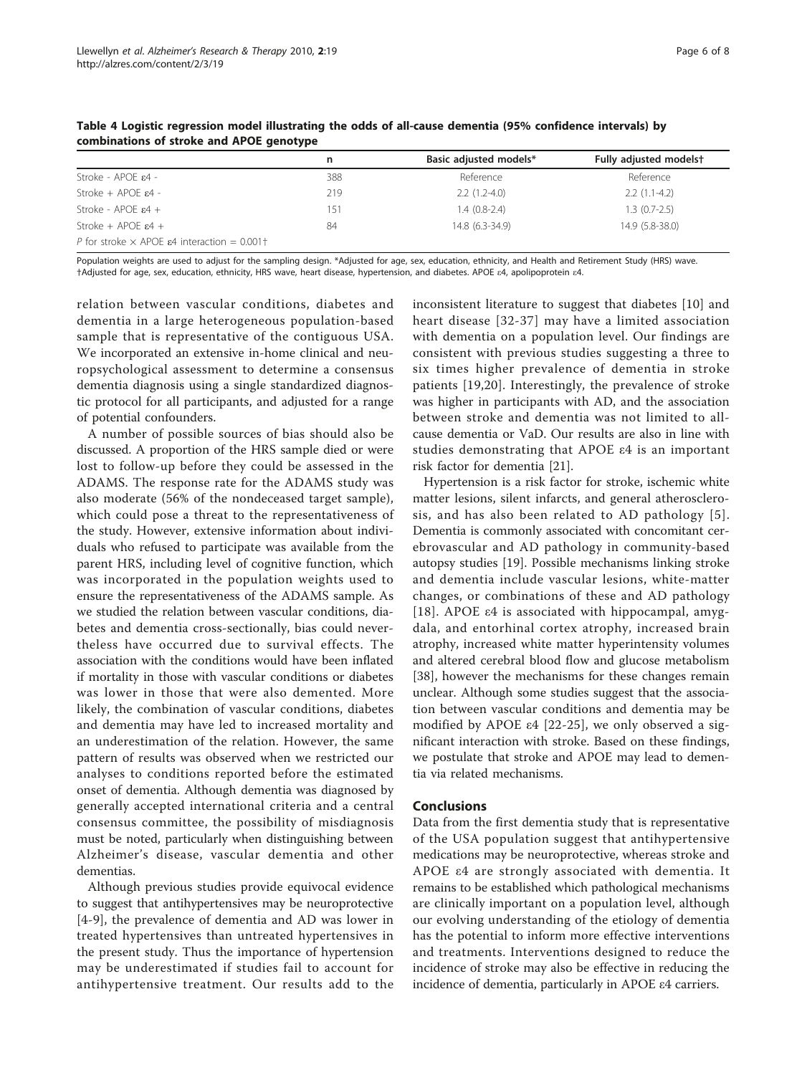|                                                                 | n   | Basic adjusted models* | Fully adjusted modelst |
|-----------------------------------------------------------------|-----|------------------------|------------------------|
| Stroke - APOE &4 -                                              | 388 | Reference              | Reference              |
| Stroke + $APOF$ $\epsilon$ 4 -                                  | 219 | $2.2(1.2-4.0)$         | $2.2(1.1-4.2)$         |
| Stroke - APOE $\varepsilon$ 4 +                                 | 151 | $1.4(0.8-2.4)$         | $1.3(0.7-2.5)$         |
| Stroke + APOF $\varepsilon$ 4 +                                 | 84  | 14.8 (6.3-34.9)        | 14.9 (5.8-38.0)        |
| P for stroke $\times$ APOE $\varepsilon$ 4 interaction = 0.001+ |     |                        |                        |

<span id="page-5-0"></span>Table 4 Logistic regression model illustrating the odds of all-cause dementia (95% confidence intervals) by combinations of stroke and APOE genotype

Population weights are used to adjust for the sampling design. \*Adjusted for age, sex, education, ethnicity, and Health and Retirement Study (HRS) wave. †Adjusted for age, sex, education, ethnicity, HRS wave, heart disease, hypertension, and diabetes. APOE ε4, apolipoprotein ε4.

relation between vascular conditions, diabetes and dementia in a large heterogeneous population-based sample that is representative of the contiguous USA. We incorporated an extensive in-home clinical and neuropsychological assessment to determine a consensus dementia diagnosis using a single standardized diagnostic protocol for all participants, and adjusted for a range of potential confounders.

A number of possible sources of bias should also be discussed. A proportion of the HRS sample died or were lost to follow-up before they could be assessed in the ADAMS. The response rate for the ADAMS study was also moderate (56% of the nondeceased target sample), which could pose a threat to the representativeness of the study. However, extensive information about individuals who refused to participate was available from the parent HRS, including level of cognitive function, which was incorporated in the population weights used to ensure the representativeness of the ADAMS sample. As we studied the relation between vascular conditions, diabetes and dementia cross-sectionally, bias could nevertheless have occurred due to survival effects. The association with the conditions would have been inflated if mortality in those with vascular conditions or diabetes was lower in those that were also demented. More likely, the combination of vascular conditions, diabetes and dementia may have led to increased mortality and an underestimation of the relation. However, the same pattern of results was observed when we restricted our analyses to conditions reported before the estimated onset of dementia. Although dementia was diagnosed by generally accepted international criteria and a central consensus committee, the possibility of misdiagnosis must be noted, particularly when distinguishing between Alzheimer's disease, vascular dementia and other dementias.

Although previous studies provide equivocal evidence to suggest that antihypertensives may be neuroprotective [[4-9\]](#page-6-0), the prevalence of dementia and AD was lower in treated hypertensives than untreated hypertensives in the present study. Thus the importance of hypertension may be underestimated if studies fail to account for antihypertensive treatment. Our results add to the

inconsistent literature to suggest that diabetes [[10\]](#page-6-0) and heart disease [\[32](#page-7-0)-[37](#page-7-0)] may have a limited association with dementia on a population level. Our findings are consistent with previous studies suggesting a three to six times higher prevalence of dementia in stroke patients [[19,20\]](#page-6-0). Interestingly, the prevalence of stroke was higher in participants with AD, and the association between stroke and dementia was not limited to allcause dementia or VaD. Our results are also in line with studies demonstrating that APOE ε4 is an important risk factor for dementia [\[21](#page-6-0)].

Hypertension is a risk factor for stroke, ischemic white matter lesions, silent infarcts, and general atherosclerosis, and has also been related to AD pathology [[5\]](#page-6-0). Dementia is commonly associated with concomitant cerebrovascular and AD pathology in community-based autopsy studies [\[19\]](#page-6-0). Possible mechanisms linking stroke and dementia include vascular lesions, white-matter changes, or combinations of these and AD pathology [[18](#page-6-0)]. APOE ε4 is associated with hippocampal, amygdala, and entorhinal cortex atrophy, increased brain atrophy, increased white matter hyperintensity volumes and altered cerebral blood flow and glucose metabolism [[38\]](#page-7-0), however the mechanisms for these changes remain unclear. Although some studies suggest that the association between vascular conditions and dementia may be modified by APOE ε4 [[22-25\]](#page-6-0), we only observed a significant interaction with stroke. Based on these findings, we postulate that stroke and APOE may lead to dementia via related mechanisms.

## Conclusions

Data from the first dementia study that is representative of the USA population suggest that antihypertensive medications may be neuroprotective, whereas stroke and APOE ε4 are strongly associated with dementia. It remains to be established which pathological mechanisms are clinically important on a population level, although our evolving understanding of the etiology of dementia has the potential to inform more effective interventions and treatments. Interventions designed to reduce the incidence of stroke may also be effective in reducing the incidence of dementia, particularly in APOE ε4 carriers.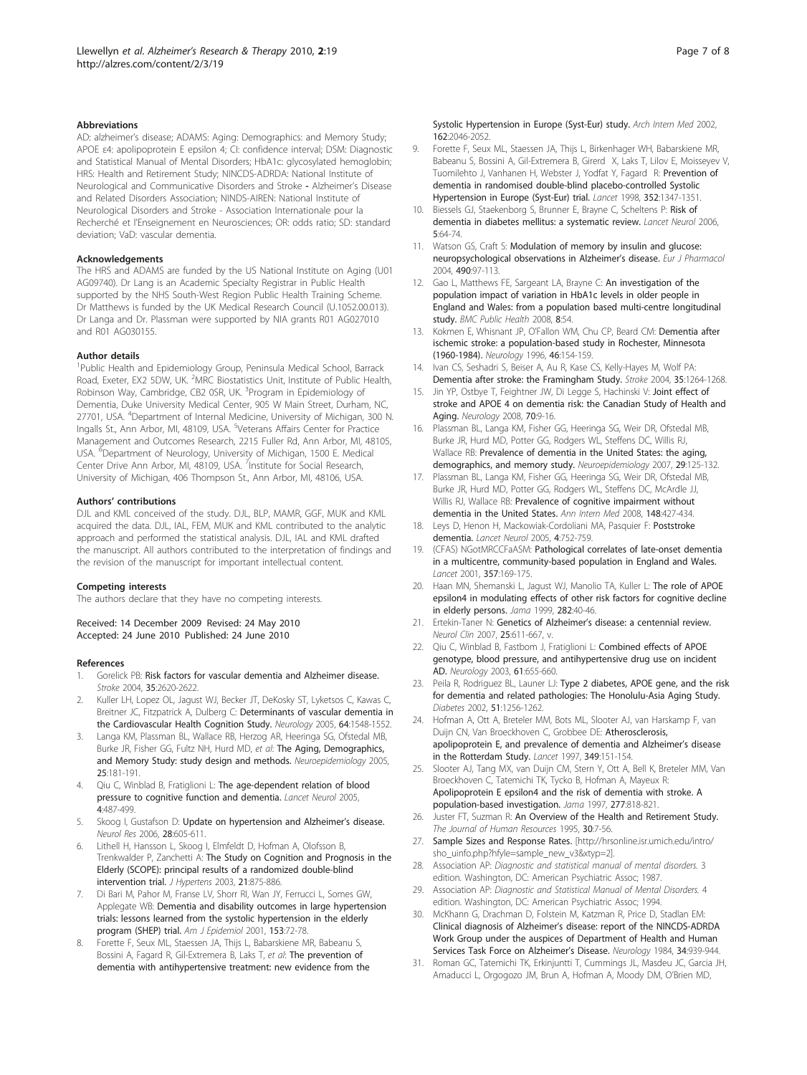#### <span id="page-6-0"></span>Abbreviations

AD: alzheimer's disease; ADAMS: Aging: Demographics: and Memory Study; APOE ε4: apolipoprotein E epsilon 4; CI: confidence interval; DSM: Diagnostic and Statistical Manual of Mental Disorders; HbA1c: glycosylated hemoglobin; HRS: Health and Retirement Study; NINCDS-ADRDA: National Institute of Neurological and Communicative Disorders and Stroke - Alzheimer's Disease and Related Disorders Association; NINDS-AIREN: National Institute of Neurological Disorders and Stroke - Association Internationale pour la Recherché et l'Enseignement en Neurosciences; OR: odds ratio; SD: standard deviation; VaD: vascular dementia.

#### Acknowledgements

The HRS and ADAMS are funded by the US National Institute on Aging (U01 AG09740). Dr Lang is an Academic Specialty Registrar in Public Health supported by the NHS South-West Region Public Health Training Scheme. Dr Matthews is funded by the UK Medical Research Council (U.1052.00.013). Dr Langa and Dr. Plassman were supported by NIA grants R01 AG027010 and R01 AG030155.

#### Author details

<sup>1</sup>Public Health and Epidemiology Group, Peninsula Medical School, Barrack Road, Exeter, EX2 5DW, UK. <sup>2</sup>MRC Biostatistics Unit, Institute of Public Health, Robinson Way, Cambridge, CB2 0SR, UK. <sup>3</sup>Program in Epidemiology of Dementia, Duke University Medical Center, 905 W Main Street, Durham, NC, 27701, USA. <sup>4</sup> Department of Internal Medicine, University of Michigan, 300 N. Ingalls St., Ann Arbor, MI, 48109, USA. <sup>5</sup>Veterans Affairs Center for Practice Management and Outcomes Research, 2215 Fuller Rd, Ann Arbor, MI, 48105, USA. <sup>6</sup>Department of Neurology, University of Michigan, 1500 E. Medical Center Drive Ann Arbor, MI, 48109, USA. <sup>7</sup>Institute for Social Research, University of Michigan, 406 Thompson St., Ann Arbor, MI, 48106, USA.

#### Authors' contributions

DJL and KML conceived of the study. DJL, BLP, MAMR, GGF, MUK and KML acquired the data. DJL, IAL, FEM, MUK and KML contributed to the analytic approach and performed the statistical analysis. DJL, IAL and KML drafted the manuscript. All authors contributed to the interpretation of findings and the revision of the manuscript for important intellectual content.

#### Competing interests

The authors declare that they have no competing interests.

#### Received: 14 December 2009 Revised: 24 May 2010 Accepted: 24 June 2010 Published: 24 June 2010

#### References

- 1. Gorelick PB: [Risk factors for vascular dementia and Alzheimer disease.](http://www.ncbi.nlm.nih.gov/pubmed/15375299?dopt=Abstract) Stroke 2004, 35:2620-2622.
- 2. Kuller LH, Lopez OL, Jagust WJ, Becker JT, DeKosky ST, Lyketsos C, Kawas C, Breitner JC, Fitzpatrick A, Dulberg C: [Determinants of vascular dementia in](http://www.ncbi.nlm.nih.gov/pubmed/15883315?dopt=Abstract) [the Cardiovascular Health Cognition Study.](http://www.ncbi.nlm.nih.gov/pubmed/15883315?dopt=Abstract) Neurology 2005, 64:1548-1552.
- Langa KM, Plassman BL, Wallace RB, Herzog AR, Heeringa SG, Ofstedal MB, Burke JR, Fisher GG, Fultz NH, Hurd MD, et al: [The Aging, Demographics,](http://www.ncbi.nlm.nih.gov/pubmed/16103729?dopt=Abstract) [and Memory Study: study design and methods.](http://www.ncbi.nlm.nih.gov/pubmed/16103729?dopt=Abstract) Neuroepidemiology 2005, 25:181-191.
- 4. Qiu C, Winblad B, Fratiglioni L: [The age-dependent relation of blood](http://www.ncbi.nlm.nih.gov/pubmed/16033691?dopt=Abstract) [pressure to cognitive function and dementia.](http://www.ncbi.nlm.nih.gov/pubmed/16033691?dopt=Abstract) Lancet Neurol 2005, 4:487-499.
- 5. Skoog I, Gustafson D: [Update on hypertension and Alzheimer](http://www.ncbi.nlm.nih.gov/pubmed/16945211?dopt=Abstract)'s disease. Neurol Res 2006, 28:605-611.
- 6. Lithell H, Hansson L, Skoog I, Elmfeldt D, Hofman A, Olofsson B, Trenkwalder P, Zanchetti A: [The Study on Cognition and Prognosis in the](http://www.ncbi.nlm.nih.gov/pubmed/12714861?dopt=Abstract) [Elderly \(SCOPE\): principal results of a randomized double-blind](http://www.ncbi.nlm.nih.gov/pubmed/12714861?dopt=Abstract) [intervention trial.](http://www.ncbi.nlm.nih.gov/pubmed/12714861?dopt=Abstract) J Hypertens 2003, 21:875-886.
- Di Bari M, Pahor M, Franse LV, Shorr RI, Wan JY, Ferrucci L, Somes GW, Applegate WB: [Dementia and disability outcomes in large hypertension](http://www.ncbi.nlm.nih.gov/pubmed/11159149?dopt=Abstract) [trials: lessons learned from the systolic hypertension in the elderly](http://www.ncbi.nlm.nih.gov/pubmed/11159149?dopt=Abstract) [program \(SHEP\) trial.](http://www.ncbi.nlm.nih.gov/pubmed/11159149?dopt=Abstract) Am J Epidemiol 2001, 153:72-78.
- Forette F, Seux ML, Staessen JA, Thijs L, Babarskiene MR, Babeanu S, Bossini A, Fagard R, Gil-Extremera B, Laks T, et al: [The prevention of](http://www.ncbi.nlm.nih.gov/pubmed/12374512?dopt=Abstract) [dementia with antihypertensive treatment: new evidence from the](http://www.ncbi.nlm.nih.gov/pubmed/12374512?dopt=Abstract)

[Systolic Hypertension in Europe \(Syst-Eur\) study.](http://www.ncbi.nlm.nih.gov/pubmed/12374512?dopt=Abstract) Arch Intern Med 2002. 162:2046-2052.

- 9. Forette F, Seux ML, Staessen JA, Thijs L, Birkenhager WH, Babarskiene MR, Babeanu S, Bossini A, Gil-Extremera B, Girerd X, Laks T, Lilov E, Moisseyev V, Tuomilehto J, Vanhanen H, Webster J, Yodfat Y, Fagard R: [Prevention of](http://www.ncbi.nlm.nih.gov/pubmed/9802273?dopt=Abstract) [dementia in randomised double-blind placebo-controlled Systolic](http://www.ncbi.nlm.nih.gov/pubmed/9802273?dopt=Abstract) [Hypertension in Europe \(Syst-Eur\) trial.](http://www.ncbi.nlm.nih.gov/pubmed/9802273?dopt=Abstract) Lancet 1998, 352:1347-1351.
- 10. Biessels GJ, Staekenborg S, Brunner E, Brayne C, Scheltens P: [Risk of](http://www.ncbi.nlm.nih.gov/pubmed/16361024?dopt=Abstract) [dementia in diabetes mellitus: a systematic review.](http://www.ncbi.nlm.nih.gov/pubmed/16361024?dopt=Abstract) Lancet Neurol 2006, 5:64-74.
- 11. Watson GS, Craft S: [Modulation of memory by insulin and glucose:](http://www.ncbi.nlm.nih.gov/pubmed/15094077?dopt=Abstract) [neuropsychological observations in Alzheimer](http://www.ncbi.nlm.nih.gov/pubmed/15094077?dopt=Abstract)'s disease. Eur J Pharmacol 2004, 490:97-113.
- 12. Gao L, Matthews FE, Sargeant LA, Brayne C: [An investigation of the](http://www.ncbi.nlm.nih.gov/pubmed/18267013?dopt=Abstract) [population impact of variation in HbA1c levels in older people in](http://www.ncbi.nlm.nih.gov/pubmed/18267013?dopt=Abstract) [England and Wales: from a population based multi-centre longitudinal](http://www.ncbi.nlm.nih.gov/pubmed/18267013?dopt=Abstract) [study.](http://www.ncbi.nlm.nih.gov/pubmed/18267013?dopt=Abstract) BMC Public Health 2008, 8:54.
- 13. Kokmen E, Whisnant JP, O'Fallon WM, Chu CP, Beard CM: [Dementia](http://www.ncbi.nlm.nih.gov/pubmed/8559366?dopt=Abstract) after [ischemic stroke: a population-based study in Rochester, Minnesota](http://www.ncbi.nlm.nih.gov/pubmed/8559366?dopt=Abstract) [\(1960-1984\).](http://www.ncbi.nlm.nih.gov/pubmed/8559366?dopt=Abstract) Neurology 1996, 46:154-159.
- 14. Ivan CS, Seshadri S, Beiser A, Au R, Kase CS, Kelly-Hayes M, Wolf PA: [Dementia after stroke: the Framingham Study.](http://www.ncbi.nlm.nih.gov/pubmed/15118167?dopt=Abstract) Stroke 2004, 35:1264-1268.
- 15. Jin YP, Ostbye T, Feightner JW, Di Legge S, Hachinski V: [Joint effect of](http://www.ncbi.nlm.nih.gov/pubmed/17978275?dopt=Abstract) [stroke and APOE 4 on dementia risk: the Canadian Study of Health and](http://www.ncbi.nlm.nih.gov/pubmed/17978275?dopt=Abstract) [Aging.](http://www.ncbi.nlm.nih.gov/pubmed/17978275?dopt=Abstract) Neurology 2008, 70:9-16.
- 16. Plassman BL, Langa KM, Fisher GG, Heeringa SG, Weir DR, Ofstedal MB, Burke JR, Hurd MD, Potter GG, Rodgers WL, Steffens DC, Willis RJ, Wallace RB: [Prevalence of dementia in the United States: the aging,](http://www.ncbi.nlm.nih.gov/pubmed/17975326?dopt=Abstract) [demographics, and memory study.](http://www.ncbi.nlm.nih.gov/pubmed/17975326?dopt=Abstract) Neuroepidemiology 2007, 29:125-132.
- 17. Plassman BL, Langa KM, Fisher GG, Heeringa SG, Weir DR, Ofstedal MB, Burke JR, Hurd MD, Potter GG, Rodgers WL, Steffens DC, McArdle JJ, Willis RJ, Wallace RB: [Prevalence of cognitive impairment without](http://www.ncbi.nlm.nih.gov/pubmed/18347351?dopt=Abstract) [dementia in the United States.](http://www.ncbi.nlm.nih.gov/pubmed/18347351?dopt=Abstract) Ann Intern Med 2008, 148:427-434.
- 18. Leys D, Henon H, Mackowiak-Cordoliani MA, Pasquier F: [Poststroke](http://www.ncbi.nlm.nih.gov/pubmed/16239182?dopt=Abstract) [dementia.](http://www.ncbi.nlm.nih.gov/pubmed/16239182?dopt=Abstract) Lancet Neurol 2005, 4:752-759.
- 19. (CFAS) NGotMRCCFaASM: [Pathological correlates of late-onset dementia](http://www.ncbi.nlm.nih.gov/pubmed/11213093?dopt=Abstract) [in a multicentre, community-based population in England and Wales.](http://www.ncbi.nlm.nih.gov/pubmed/11213093?dopt=Abstract) Lancet 2001, 357:169-175.
- 20. Haan MN, Shemanski L, Jagust WJ, Manolio TA, Kuller L: [The role of APOE](http://www.ncbi.nlm.nih.gov/pubmed/10404910?dopt=Abstract) [epsilon4 in modulating effects of other risk factors for cognitive decline](http://www.ncbi.nlm.nih.gov/pubmed/10404910?dopt=Abstract) [in elderly persons.](http://www.ncbi.nlm.nih.gov/pubmed/10404910?dopt=Abstract) Jama 1999, 282:40-46.
- 21. Ertekin-Taner N: Genetics of Alzheimer'[s disease: a centennial review.](http://www.ncbi.nlm.nih.gov/pubmed/17659183?dopt=Abstract) Neurol Clin 2007, 25:611-667, v.
- 22. Qiu C, Winblad B, Fastbom J, Fratiglioni L: [Combined effects of APOE](http://www.ncbi.nlm.nih.gov/pubmed/12963757?dopt=Abstract) [genotype, blood pressure, and antihypertensive drug use on incident](http://www.ncbi.nlm.nih.gov/pubmed/12963757?dopt=Abstract) [AD.](http://www.ncbi.nlm.nih.gov/pubmed/12963757?dopt=Abstract) Neurology 2003, 61:655-660.
- 23. Peila R, Rodriguez BL, Launer LJ: [Type 2 diabetes, APOE gene, and the risk](http://www.ncbi.nlm.nih.gov/pubmed/11916953?dopt=Abstract) [for dementia and related pathologies: The Honolulu-Asia Aging Study.](http://www.ncbi.nlm.nih.gov/pubmed/11916953?dopt=Abstract) Diabetes 2002, 51:1256-1262.
- 24. Hofman A, Ott A, Breteler MM, Bots ML, Slooter AJ, van Harskamp F, van Duijn CN, Van Broeckhoven C, Grobbee DE: [Atherosclerosis,](http://www.ncbi.nlm.nih.gov/pubmed/9111537?dopt=Abstract) [apolipoprotein E, and prevalence of dementia and Alzheimer](http://www.ncbi.nlm.nih.gov/pubmed/9111537?dopt=Abstract)'s disease [in the Rotterdam Study.](http://www.ncbi.nlm.nih.gov/pubmed/9111537?dopt=Abstract) Lancet 1997, 349:151-154.
- 25. Slooter AJ, Tang MX, van Duijn CM, Stern Y, Ott A, Bell K, Breteler MM, Van Broeckhoven C, Tatemichi TK, Tycko B, Hofman A, Mayeux R: [Apolipoprotein E epsilon4 and the risk of dementia with stroke. A](http://www.ncbi.nlm.nih.gov/pubmed/9052712?dopt=Abstract) [population-based investigation.](http://www.ncbi.nlm.nih.gov/pubmed/9052712?dopt=Abstract) Jama 1997, 277:818-821.
- 26. Juster FT, Suzman R: An Overview of the Health and Retirement Study. The Journal of Human Resources 1995, 30:7-56.
- 27. Sample Sizes and Response Rates. [[http://hrsonline.isr.umich.edu/intro/](http://hrsonline.isr.umich.edu/intro/sho_uinfo.php?hfyle=sample_new_v3&xtyp=2) [sho\\_uinfo.php?hfyle=sample\\_new\\_v3&xtyp=2\]](http://hrsonline.isr.umich.edu/intro/sho_uinfo.php?hfyle=sample_new_v3&xtyp=2).
- 28. Association AP: Diagnostic and statistical manual of mental disorders. 3 edition. Washington, DC: American Psychiatric Assoc; 1987.
- 29. Association AP: Diganostic and Statistical Manual of Mental Disorders, 4 edition. Washington, DC: American Psychiatric Assoc; 1994.
- 30. McKhann G, Drachman D, Folstein M, Katzman R, Price D, Stadlan EM: Clinical diagnosis of Alzheimer'[s disease: report of the NINCDS-ADRDA](http://www.ncbi.nlm.nih.gov/pubmed/6610841?dopt=Abstract) [Work Group under the auspices of Department of Health and Human](http://www.ncbi.nlm.nih.gov/pubmed/6610841?dopt=Abstract) [Services Task Force on Alzheimer](http://www.ncbi.nlm.nih.gov/pubmed/6610841?dopt=Abstract)'s Disease. Neurology 1984, 34:939-944.
- 31. Roman GC, Tatemichi TK, Erkinjuntti T, Cummings JL, Masdeu JC, Garcia JH, Amaducci L, Orgogozo JM, Brun A, Hofman A, Moody DM, O'Brien MD,